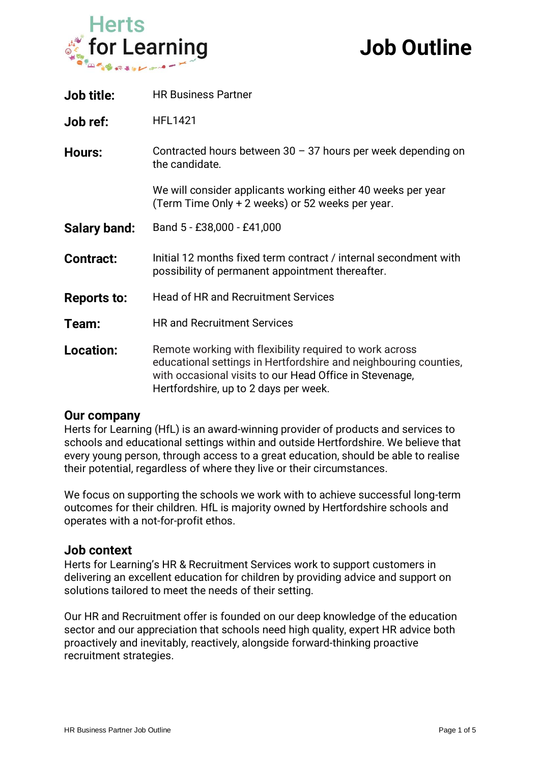

# **Job Outline**

| <b>Job title:</b>   | <b>HR Business Partner</b>                                                                                                                                                                                                      |
|---------------------|---------------------------------------------------------------------------------------------------------------------------------------------------------------------------------------------------------------------------------|
| Job ref:            | <b>HFL1421</b>                                                                                                                                                                                                                  |
| <b>Hours:</b>       | Contracted hours between $30 - 37$ hours per week depending on<br>the candidate.                                                                                                                                                |
|                     | We will consider applicants working either 40 weeks per year<br>(Term Time Only + 2 weeks) or 52 weeks per year.                                                                                                                |
| <b>Salary band:</b> | Band 5 - £38,000 - £41,000                                                                                                                                                                                                      |
| <b>Contract:</b>    | Initial 12 months fixed term contract / internal secondment with<br>possibility of permanent appointment thereafter.                                                                                                            |
| <b>Reports to:</b>  | <b>Head of HR and Recruitment Services</b>                                                                                                                                                                                      |
| Team:               | <b>HR and Recruitment Services</b>                                                                                                                                                                                              |
| <b>Location:</b>    | Remote working with flexibility required to work across<br>educational settings in Hertfordshire and neighbouring counties,<br>with occasional visits to our Head Office in Stevenage,<br>Hertfordshire, up to 2 days per week. |

### **Our company**

Herts for Learning (HfL) is an award-winning provider of products and services to schools and educational settings within and outside Hertfordshire. We believe that every young person, through access to a great education, should be able to realise their potential, regardless of where they live or their circumstances.

We focus on supporting the schools we work with to achieve successful long-term outcomes for their children. HfL is majority owned by Hertfordshire schools and operates with a not-for-profit ethos.

#### **Job context**

Herts for Learning's HR & Recruitment Services work to support customers in delivering an excellent education for children by providing advice and support on solutions tailored to meet the needs of their setting.

Our HR and Recruitment offer is founded on our deep knowledge of the education sector and our appreciation that schools need high quality, expert HR advice both proactively and inevitably, reactively, alongside forward-thinking proactive recruitment strategies.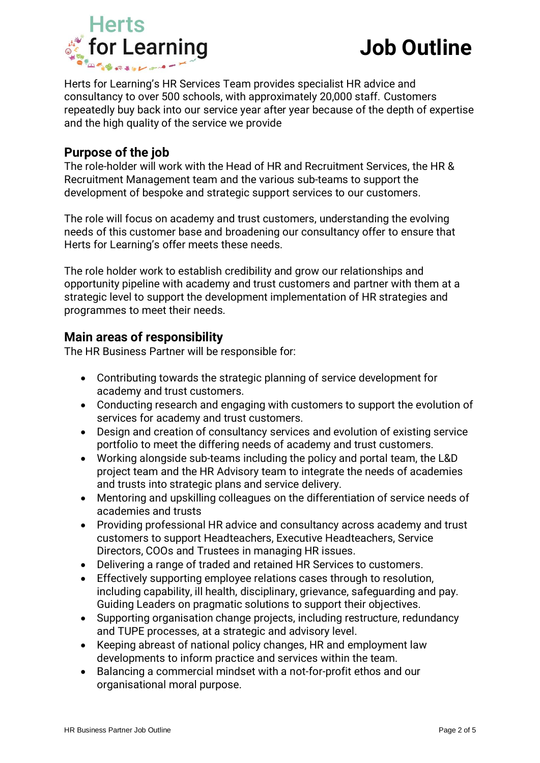

Herts for Learning's HR Services Team provides specialist HR advice and consultancy to over 500 schools, with approximately 20,000 staff. Customers repeatedly buy back into our service year after year because of the depth of expertise and the high quality of the service we provide

## **Purpose of the job**

The role-holder will work with the Head of HR and Recruitment Services, the HR & Recruitment Management team and the various sub-teams to support the development of bespoke and strategic support services to our customers.

The role will focus on academy and trust customers, understanding the evolving needs of this customer base and broadening our consultancy offer to ensure that Herts for Learning's offer meets these needs.

The role holder work to establish credibility and grow our relationships and opportunity pipeline with academy and trust customers and partner with them at a strategic level to support the development implementation of HR strategies and programmes to meet their needs.

## **Main areas of responsibility**

The HR Business Partner will be responsible for:

- Contributing towards the strategic planning of service development for academy and trust customers.
- Conducting research and engaging with customers to support the evolution of services for academy and trust customers.
- Design and creation of consultancy services and evolution of existing service portfolio to meet the differing needs of academy and trust customers.
- Working alongside sub-teams including the policy and portal team, the L&D project team and the HR Advisory team to integrate the needs of academies and trusts into strategic plans and service delivery.
- Mentoring and upskilling colleagues on the differentiation of service needs of academies and trusts
- Providing professional HR advice and consultancy across academy and trust customers to support Headteachers, Executive Headteachers, Service Directors, COOs and Trustees in managing HR issues.
- Delivering a range of traded and retained HR Services to customers.
- Effectively supporting employee relations cases through to resolution, including capability, ill health, disciplinary, grievance, safeguarding and pay. Guiding Leaders on pragmatic solutions to support their objectives.
- Supporting organisation change projects, including restructure, redundancy and TUPE processes, at a strategic and advisory level.
- Keeping abreast of national policy changes, HR and employment law developments to inform practice and services within the team.
- Balancing a commercial mindset with a not-for-profit ethos and our organisational moral purpose.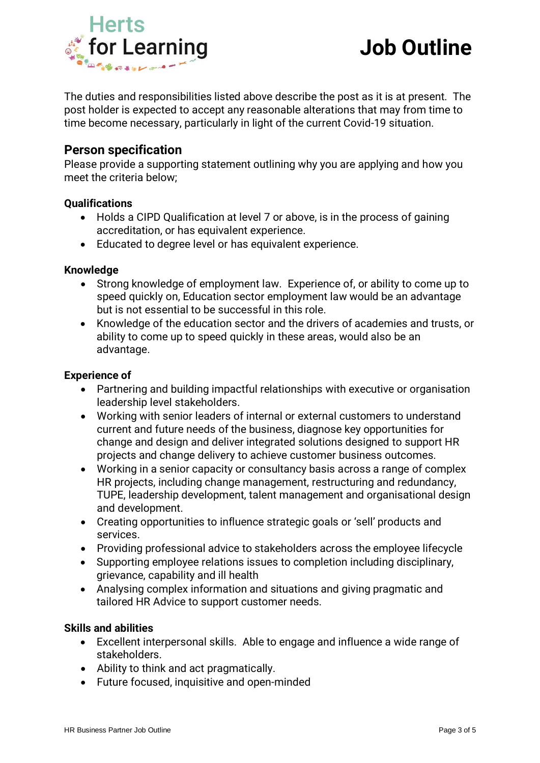

The duties and responsibilities listed above describe the post as it is at present. The post holder is expected to accept any reasonable alterations that may from time to time become necessary, particularly in light of the current Covid-19 situation.

## **Person specification**

Please provide a supporting statement outlining why you are applying and how you meet the criteria below;

#### **Qualifications**

- Holds a CIPD Qualification at level 7 or above, is in the process of gaining accreditation, or has equivalent experience.
- Educated to degree level or has equivalent experience.

#### **Knowledge**

- Strong knowledge of employment law. Experience of, or ability to come up to speed quickly on, Education sector employment law would be an advantage but is not essential to be successful in this role.
- Knowledge of the education sector and the drivers of academies and trusts, or ability to come up to speed quickly in these areas, would also be an advantage.

#### **Experience of**

- Partnering and building impactful relationships with executive or organisation leadership level stakeholders.
- Working with senior leaders of internal or external customers to understand current and future needs of the business, diagnose key opportunities for change and design and deliver integrated solutions designed to support HR projects and change delivery to achieve customer business outcomes.
- Working in a senior capacity or consultancy basis across a range of complex HR projects, including change management, restructuring and redundancy, TUPE, leadership development, talent management and organisational design and development.
- Creating opportunities to influence strategic goals or 'sell' products and services.
- Providing professional advice to stakeholders across the employee lifecycle
- Supporting employee relations issues to completion including disciplinary, grievance, capability and ill health
- Analysing complex information and situations and giving pragmatic and tailored HR Advice to support customer needs.

#### **Skills and abilities**

- Excellent interpersonal skills. Able to engage and influence a wide range of stakeholders.
- Ability to think and act pragmatically.
- Future focused, inquisitive and open-minded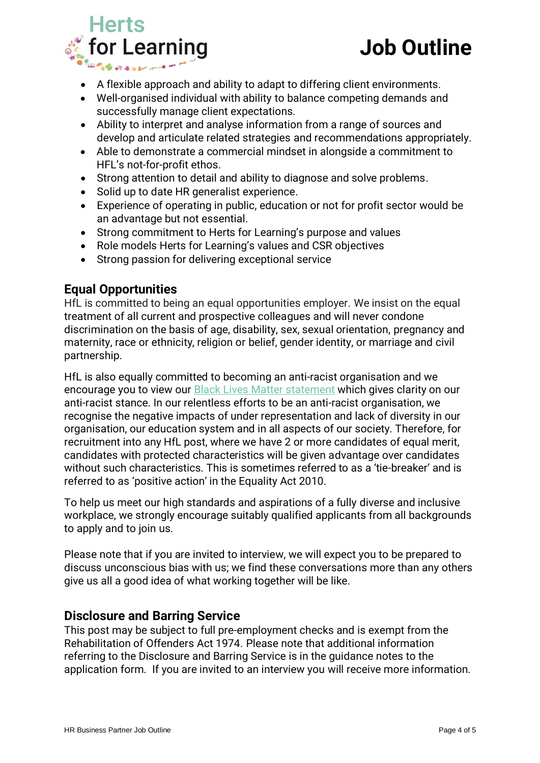

- A flexible approach and ability to adapt to differing client environments.
- Well-organised individual with ability to balance competing demands and successfully manage client expectations.
- Ability to interpret and analyse information from a range of sources and develop and articulate related strategies and recommendations appropriately.
- Able to demonstrate a commercial mindset in alongside a commitment to HFL's not-for-profit ethos.
- Strong attention to detail and ability to diagnose and solve problems.
- Solid up to date HR generalist experience.
- Experience of operating in public, education or not for profit sector would be an advantage but not essential.
- Strong commitment to Herts for Learning's purpose and values
- Role models Herts for Learning's values and CSR objectives
- Strong passion for delivering exceptional service

## **Equal Opportunities**

HfL is committed to being an equal opportunities employer. We insist on the equal treatment of all current and prospective colleagues and will never condone discrimination on the basis of age, disability, sex, sexual orientation, pregnancy and maternity, race or ethnicity, religion or belief, gender identity, or marriage and civil partnership.

HfL is also equally committed to becoming an anti-racist organisation and we encourage you to view our **[Black Lives Matter statement](https://www.hertsforlearning.co.uk/news/hfl-statement-regarding-black-lives-matters)** which gives clarity on our anti-racist stance. In our relentless efforts to be an anti-racist organisation, we recognise the negative impacts of under representation and lack of diversity in our organisation, our education system and in all aspects of our society. Therefore, for recruitment into any HfL post, where we have 2 or more candidates of equal merit, candidates with protected characteristics will be given advantage over candidates without such characteristics. This is sometimes referred to as a 'tie-breaker' and is referred to as 'positive action' in the Equality Act 2010.

To help us meet our high standards and aspirations of a fully diverse and inclusive workplace, we strongly encourage suitably qualified applicants from all backgrounds to apply and to join us.

Please note that if you are invited to interview, we will expect you to be prepared to discuss unconscious bias with us; we find these conversations more than any others give us all a good idea of what working together will be like.

## **Disclosure and Barring Service**

This post may be subject to full pre-employment checks and is exempt from the Rehabilitation of Offenders Act 1974. Please note that additional information referring to the Disclosure and Barring Service is in the guidance notes to the application form. If you are invited to an interview you will receive more information.